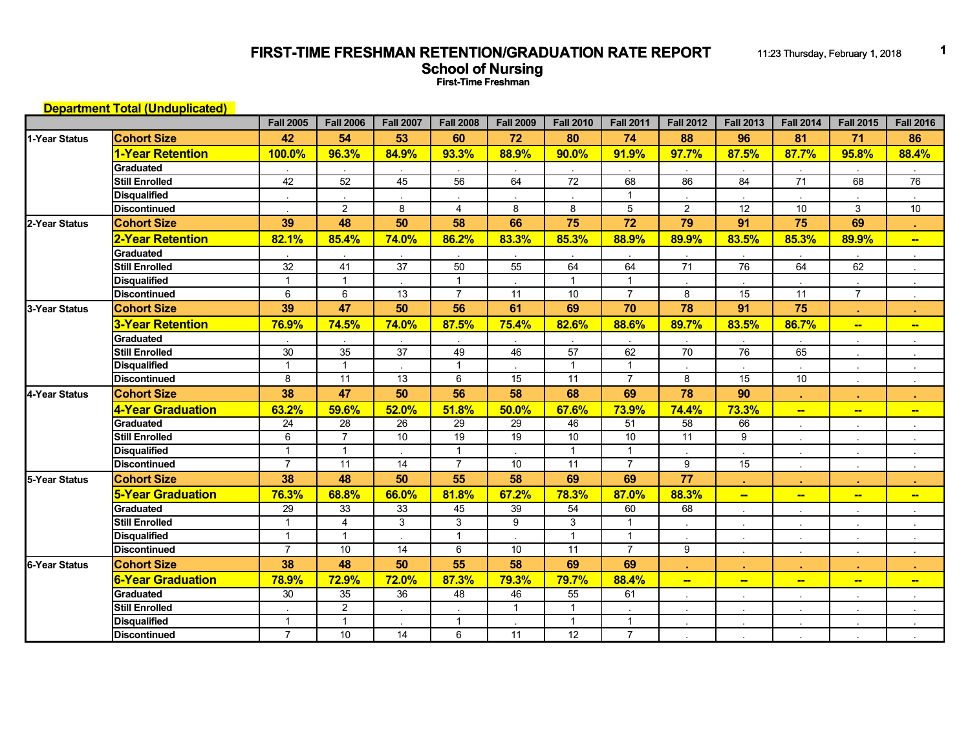## **FIRST-TIME FRESHMAN RETENTION/GRADUATION RATE REPORT** 11:23 Thursday, February 1, 2018 **1 School of Nursing First-Time Freshman**

|                      | <b>Department Total (Unduplicated)</b> |                  |                  |                  |                  |                  |                  |                         |                          |                          |                          |                          |                          |
|----------------------|----------------------------------------|------------------|------------------|------------------|------------------|------------------|------------------|-------------------------|--------------------------|--------------------------|--------------------------|--------------------------|--------------------------|
|                      |                                        | <b>Fall 2005</b> | <b>Fall 2006</b> | <b>Fall 2007</b> | <b>Fall 2008</b> | <b>Fall 2009</b> | <b>Fall 2010</b> | <b>Fall 2011</b>        | <b>Fall 2012</b>         | <b>Fall 2013</b>         | <b>Fall 2014</b>         | <b>Fall 2015</b>         | <b>Fall 2016</b>         |
| 1-Year Status        | <b>Cohort Size</b>                     | 42               | 54               | 53               | 60               | 72               | 80               | 74                      | 88                       | 96                       | 81                       | 71                       | 86                       |
|                      | 1-Year Retention                       | 100.0%           | 96.3%            | 84.9%            | 93.3%            | 88.9%            | 90.0%            | 91.9%                   | 97.7%                    | 87.5%                    | 87.7%                    | 95.8%                    | 88.4%                    |
|                      | Graduated                              |                  |                  |                  |                  |                  |                  |                         |                          |                          |                          |                          |                          |
|                      | <b>Still Enrolled</b>                  | 42               | 52               | 45               | 56               | 64               | $\overline{72}$  | 68                      | 86                       | 84                       | 71                       | 68                       | 76                       |
|                      | <b>Disqualified</b>                    |                  |                  |                  |                  |                  |                  | $\overline{1}$          |                          |                          |                          |                          |                          |
|                      | <b>Discontinued</b>                    |                  | $\mathbf{2}$     | 8                | $\overline{4}$   | 8                | 8                | 5                       | $\overline{2}$           | 12                       | 10                       | 3                        | 10                       |
| 2-Year Status        | <b>Cohort Size</b>                     | 39               | 48               | 50               | 58               | 66               | 75               | 72                      | 79                       | 91                       | 75                       | 69                       | п.                       |
|                      | 2-Year Retention                       | 82.1%            | 85.4%            | 74.0%            | 86.2%            | 83.3%            | 85.3%            | 88.9%                   | 89.9%                    | 83.5%                    | 85.3%                    | 89.9%                    | $\overline{\phantom{0}}$ |
|                      | <b>Graduated</b>                       |                  |                  |                  |                  |                  |                  |                         |                          |                          |                          |                          |                          |
|                      | <b>Still Enrolled</b>                  | $\overline{32}$  | $\overline{41}$  | $\overline{37}$  | 50               | 55               | 64               | 64                      | $\overline{71}$          | 76                       | 64                       | 62                       |                          |
|                      | <b>Disqualified</b>                    | $\overline{1}$   | $\mathbf{1}$     |                  | $\mathbf{1}$     |                  | $\overline{1}$   | $\overline{1}$          |                          |                          |                          |                          |                          |
|                      | <b>Discontinued</b>                    | 6                | 6                | 13               | $\overline{7}$   | 11               | 10               | $\overline{7}$          | 8                        | 15                       | 11                       | $\overline{7}$           |                          |
| 3-Year Status        | <b>Cohort Size</b>                     | 39               | 47               | 50               | 56               | 61               | 69               | 70                      | 78                       | 91                       | 75                       |                          |                          |
|                      | 3-Year Retention                       | 76.9%            | 74.5%            | <b>74.0%</b>     | 87.5%            | 75.4%            | 82.6%            | 88.6%                   | 89.7%                    | 83.5%                    | 86.7%                    | $-$                      | $\overline{\phantom{a}}$ |
|                      | Graduated                              |                  |                  |                  |                  |                  |                  |                         |                          |                          |                          |                          |                          |
|                      | <b>Still Enrolled</b>                  | 30               | $\overline{35}$  | $\overline{37}$  | 49               | 46               | $\overline{57}$  | 62                      | 70                       | 76                       | 65                       |                          |                          |
|                      | <b>Disqualified</b>                    | $\overline{1}$   | $\mathbf{1}$     |                  | $\mathbf{1}$     |                  | $\mathbf{1}$     | $\overline{1}$          |                          |                          |                          |                          |                          |
|                      | <b>Discontinued</b>                    | 8                | 11               | 13               | 6                | 15               | $\overline{11}$  | $\overline{7}$          | 8                        | $\overline{15}$          | 10                       |                          |                          |
| 4-Year Status        | <b>Cohort Size</b>                     | 38               | 47               | 50               | 56               | 58               | 68               | 69                      | 78                       | 90                       | ×.                       |                          |                          |
|                      | 4-Year Graduation                      | 63.2%            | 59.6%            | 52.0%            | 51.8%            | 50.0%            | 67.6%            | 73.9%                   | 74.4%                    | 73.3%                    | <u>.,</u>                | $\overline{\phantom{a}}$ | $\blacksquare$           |
|                      | Graduated                              | $\overline{24}$  | $\overline{28}$  | $\overline{26}$  | 29               | 29               | 46               | 51                      | 58                       | 66                       |                          |                          |                          |
|                      | Still Enrolled                         | 6                | $\overline{7}$   | 10               | 19               | $\overline{19}$  | 10               | 10                      | 11                       | 9                        |                          |                          | $\mathbf{r}$             |
|                      | <b>Disqualified</b>                    | $\overline{1}$   | $\mathbf{1}$     |                  | $\mathbf{1}$     |                  | $\mathbf{1}$     | $\overline{1}$          |                          |                          | $\blacksquare$           |                          |                          |
|                      | <b>Discontinued</b>                    | $\overline{7}$   | $\overline{11}$  | 14               | $\overline{7}$   | $\overline{10}$  | $\overline{11}$  | $\overline{7}$          | 9                        | $\overline{15}$          | $\sim$                   |                          |                          |
| 5-Year Status        | <b>Cohort Size</b>                     | 38               | 48               | 50               | 55               | 58               | 69               | 69                      | 77                       |                          | $\mathbf{r}$             |                          |                          |
|                      | <b>5-Year Graduation</b>               | 76.3%            | 68.8%            | 66.0%            | 81.8%            | 67.2%            | 78.3%            | 87.0%                   | 88.3%                    | $\overline{\phantom{a}}$ | $\overline{\phantom{a}}$ | $\frac{1}{2}$            | $\overline{\phantom{a}}$ |
|                      | Graduated                              | $\overline{29}$  | 33               | 33               | 45               | 39               | $\overline{54}$  | 60                      | 68                       | $\mathbf{r}$             | $\sim$                   |                          |                          |
|                      | <b>Still Enrolled</b>                  | $\overline{1}$   | $\overline{4}$   | $\mathbf{3}$     | 3                | 9                | 3                | $\overline{\mathbf{1}}$ |                          |                          |                          |                          |                          |
|                      | <b>Disqualified</b>                    | $\mathbf{1}$     | $\mathbf{1}$     |                  | $\mathbf{1}$     |                  | $\overline{1}$   | $\overline{1}$          |                          |                          | $\sim$                   |                          |                          |
|                      | <b>Discontinued</b>                    | $\overline{7}$   | 10               | 14               | 6                | 10               | $\overline{11}$  | $\overline{7}$          | 9                        |                          | $\bullet$                |                          |                          |
| <b>6-Year Status</b> | <b>Cohort Size</b>                     | 38               | 48               | 50               | 55               | 58               | 69               | 69                      |                          |                          | $\mathbf{a}$ .           |                          | ×.                       |
|                      | <b>6-Year Graduation</b>               | 78.9%            | 72.9%            | 72.0%            | 87.3%            | 79.3%            | 79.7%            | 88.4%                   | $\overline{\phantom{a}}$ | $\overline{\phantom{a}}$ | $\overline{\phantom{a}}$ | $\frac{1}{2}$            | $\overline{\phantom{a}}$ |
|                      | <b>Graduated</b>                       | 30               | 35               | 36               | 48               | 46               | 55               | 61                      |                          |                          |                          |                          |                          |
|                      | <b>Still Enrolled</b>                  |                  | $\mathbf{2}$     |                  |                  | $\overline{1}$   | $\mathbf{1}$     |                         |                          |                          |                          |                          |                          |
|                      | <b>Disqualified</b>                    | $\overline{1}$   | $\mathbf{1}$     |                  | $\mathbf{1}$     |                  | $\overline{1}$   | $\overline{1}$          |                          |                          |                          |                          |                          |
|                      | <b>Discontinued</b>                    | $\overline{7}$   | 10               | 14               | 6                | $\overline{11}$  | $\overline{12}$  | $\overline{7}$          |                          |                          |                          |                          |                          |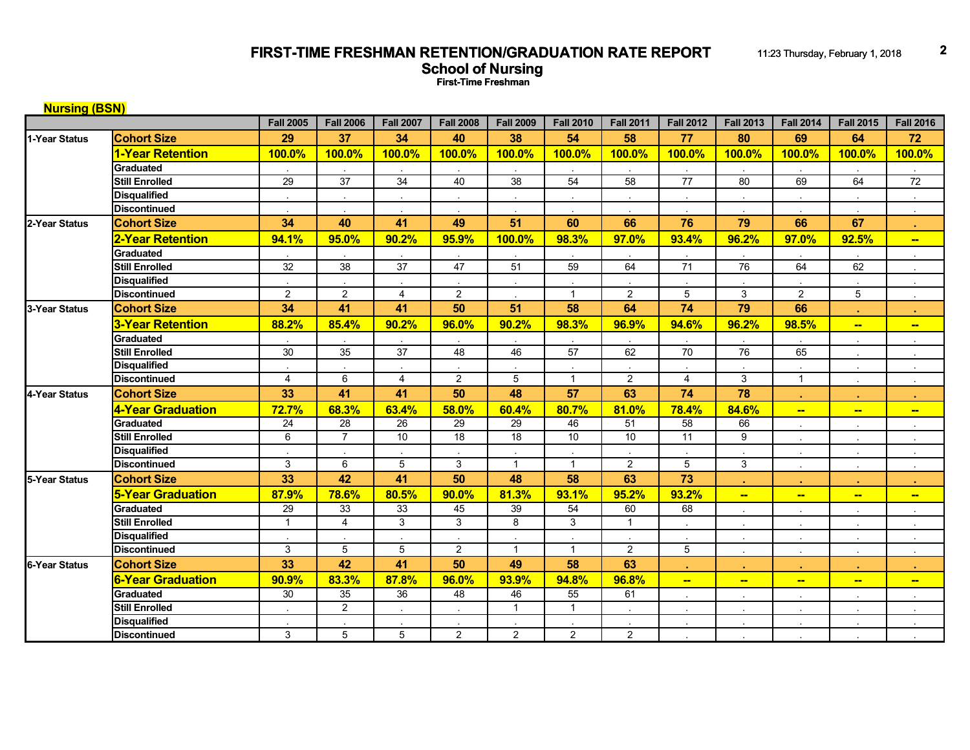## **FIRST-TIME FRESHMAN RETENTION/GRADUATION RATE REPORT** 11:23 Thursday, February 1, 2018 2 **School of Nursing First-Time Freshman**

| <b>Nursing (BSN)</b> |                          |                      |                  |                  |                  |                  |                  |                  |                          |                          |                          |                          |                          |
|----------------------|--------------------------|----------------------|------------------|------------------|------------------|------------------|------------------|------------------|--------------------------|--------------------------|--------------------------|--------------------------|--------------------------|
|                      |                          | <b>Fall 2005</b>     | <b>Fall 2006</b> | <b>Fall 2007</b> | <b>Fall 2008</b> | <b>Fall 2009</b> | <b>Fall 2010</b> | <b>Fall 2011</b> | <b>Fall 2012</b>         | <b>Fall 2013</b>         | <b>Fall 2014</b>         | <b>Fall 2015</b>         | <b>Fall 2016</b>         |
| 1-Year Status        | <b>Cohort Size</b>       | 29                   | 37               | 34               | 40               | 38               | 54               | 58               | 77                       | 80                       | 69                       | 64                       | 72                       |
|                      | 1-Year Retention         | 100.0%               | 100.0%           | 100.0%           | 100.0%           | 100.0%           | 100.0%           | 100.0%           | 100.0%                   | <b>100.0%</b>            | 100.0%                   | 100.0%                   | 100.0%                   |
|                      | Graduated                |                      |                  |                  |                  |                  |                  |                  |                          |                          |                          |                          |                          |
|                      | <b>Still Enrolled</b>    | $\overline{29}$      | $\overline{37}$  | $\overline{34}$  | 40               | $\overline{38}$  | 54               | 58               | $\overline{77}$          | 80                       | 69                       | 64                       | 72                       |
|                      | <b>Disqualified</b>      | $\ddot{\phantom{1}}$ | $\sim$           |                  | $\bullet$        | $\sim$           |                  |                  | $\sim$                   |                          | $\sim$                   |                          |                          |
|                      | <b>Discontinued</b>      |                      |                  |                  |                  |                  |                  |                  |                          |                          |                          |                          |                          |
| 2-Year Status        | <b>Cohort Size</b>       | 34                   | 40               | 41               | 49               | 51               | 60               | 66               | 76                       | 79                       | 66                       | 67                       |                          |
|                      | <b>2-Year Retention</b>  | 94.1%                | 95.0%            | 90.2%            | 95.9%            | 100.0%           | 98.3%            | 97.0%            | 93.4%                    | 96.2%                    | 97.0%                    | 92.5%                    | $\overline{\phantom{a}}$ |
|                      | Graduated                |                      |                  |                  |                  |                  |                  |                  |                          |                          |                          |                          |                          |
|                      | <b>Still Enrolled</b>    | $\overline{32}$      | $\overline{38}$  | $\overline{37}$  | 47               | 51               | $\overline{59}$  | 64               | 71                       | 76                       | 64                       | 62                       |                          |
|                      | <b>Disqualified</b>      |                      |                  |                  |                  |                  |                  |                  |                          |                          |                          |                          |                          |
|                      | <b>Discontinued</b>      | 2                    | $\overline{2}$   | 4                | 2                |                  | $\overline{1}$   | $\overline{2}$   | 5                        | 3                        | $\overline{2}$           | 5                        |                          |
| 3-Year Status        | <b>Cohort Size</b>       | 34                   | 41               | 41               | 50               | 51               | 58               | 64               | 74                       | 79                       | 66                       |                          |                          |
|                      | 3-Year Retention         | 88.2%                | 85.4%            | 90.2%            | 96.0%            | 90.2%            | 98.3%            | 96.9%            | 94.6%                    | 96.2%                    | 98.5%                    | $\overline{\phantom{a}}$ | $\overline{\phantom{a}}$ |
|                      | Graduated                |                      |                  |                  |                  |                  |                  |                  |                          |                          |                          |                          |                          |
|                      | <b>Still Enrolled</b>    | 30                   | 35               | $\overline{37}$  | 48               | 46               | 57               | 62               | 70                       | $\overline{76}$          | 65                       |                          |                          |
|                      | <b>Disqualified</b>      |                      |                  |                  |                  |                  |                  |                  |                          |                          |                          |                          |                          |
|                      | <b>Discontinued</b>      | $\overline{4}$       | 6                | $\overline{4}$   | $\overline{2}$   | 5                | $\overline{1}$   | $\overline{2}$   | $\overline{4}$           | 3                        | $\mathbf{1}$             |                          |                          |
| 4-Year Status        | <b>Cohort Size</b>       | 33                   | 41               | 41               | 50               | 48               | 57               | 63               | 74                       | 78                       |                          |                          |                          |
|                      | 4-Year Graduation        | 72.7%                | 68.3%            | 63.4%            | 58.0%            | 60.4%            | 80.7%            | 81.0%            | 78.4%                    | 84.6%                    | $\blacksquare$           | $\overline{\phantom{a}}$ | $\overline{\phantom{a}}$ |
|                      | Graduated                | 24                   | 28               | 26               | 29               | 29               | 46               | 51               | 58                       | 66                       |                          |                          |                          |
|                      | <b>Still Enrolled</b>    | 6                    | $\overline{7}$   | 10               | $\overline{18}$  | $\overline{18}$  | 10               | $\overline{10}$  | 11                       | 9                        |                          |                          |                          |
|                      | <b>Disqualified</b>      |                      |                  |                  |                  |                  |                  |                  |                          |                          | $\sim$                   |                          |                          |
|                      | <b>Discontinued</b>      | 3                    | 6                | 5                | 3                | $\mathbf{1}$     | $\overline{1}$   | $\overline{2}$   | 5                        | 3                        | $\sim$                   |                          |                          |
| 5-Year Status        | <b>Cohort Size</b>       | 33                   | 42               | 41               | 50               | 48               | 58               | 63               | 73                       |                          | ×.                       |                          |                          |
|                      | <b>5-Year Graduation</b> | 87.9%                | 78.6%            | 80.5%            | 90.0%            | 81.3%            | 93.1%            | 95.2%            | 93.2%                    | $\overline{\phantom{a}}$ | $\overline{\phantom{a}}$ | $\overline{\phantom{a}}$ | $\overline{\phantom{a}}$ |
|                      | Graduated                | $\overline{29}$      | 33               | 33               | 45               | 39               | 54               | 60               | 68                       |                          | $\ddot{\phantom{a}}$     |                          |                          |
|                      | <b>Still Enrolled</b>    | $\overline{1}$       | $\overline{4}$   | 3                | 3                | 8                | 3                | $\overline{1}$   |                          |                          | $\ddot{\phantom{a}}$     |                          |                          |
|                      | <b>Disqualified</b>      |                      |                  |                  |                  |                  |                  |                  |                          |                          | $\sim$                   |                          |                          |
|                      | <b>Discontinued</b>      | 3                    | $\overline{5}$   | 5                | 2                | $\mathbf{1}$     | $\overline{1}$   | $\overline{2}$   | 5                        | $\sim$                   | $\Delta$                 |                          |                          |
| 6-Year Status        | <b>Cohort Size</b>       | 33                   | 42               | 41               | 50               | 49               | 58               | 63               |                          |                          |                          |                          |                          |
|                      | <b>6-Year Graduation</b> | 90.9%                | 83.3%            | 87.8%            | 96.0%            | 93.9%            | 94.8%            | 96.8%            | $\overline{\phantom{a}}$ | $\blacksquare$           | $\equiv$                 | $\overline{\phantom{a}}$ | $\overline{\phantom{a}}$ |
|                      | Graduated                | 30                   | 35               | 36               | 48               | 46               | 55               | 61               |                          |                          |                          |                          |                          |
|                      | <b>Still Enrolled</b>    |                      | $\overline{2}$   |                  |                  | $\mathbf{1}$     | $\overline{1}$   |                  |                          |                          | $\sim$                   |                          |                          |
|                      | <b>Disqualified</b>      |                      |                  |                  |                  |                  |                  |                  |                          |                          |                          |                          |                          |
|                      | <b>Discontinued</b>      | 3                    | 5                | 5                | 2                | $\overline{2}$   | $\overline{2}$   | $\overline{2}$   |                          |                          |                          |                          |                          |